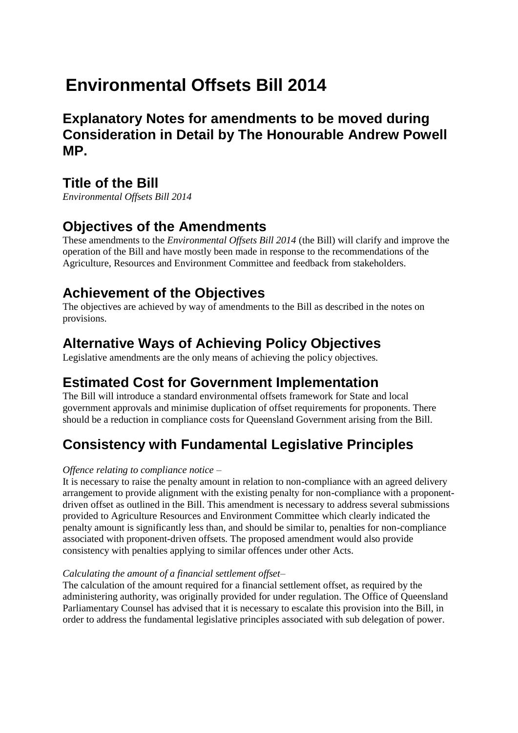# **Environmental Offsets Bill 2014**

**Explanatory Notes for amendments to be moved during Consideration in Detail by The Honourable Andrew Powell MP.** 

### **Title of the Bill**

*Environmental Offsets Bill 2014* 

### **Objectives of the Amendments**

These amendments to the *Environmental Offsets Bill 2014* (the Bill) will clarify and improve the operation of the Bill and have mostly been made in response to the recommendations of the Agriculture, Resources and Environment Committee and feedback from stakeholders.

### **Achievement of the Objectives**

The objectives are achieved by way of amendments to the Bill as described in the notes on provisions.

## **Alternative Ways of Achieving Policy Objectives**

Legislative amendments are the only means of achieving the policy objectives.

### **Estimated Cost for Government Implementation**

The Bill will introduce a standard environmental offsets framework for State and local government approvals and minimise duplication of offset requirements for proponents. There should be a reduction in compliance costs for Queensland Government arising from the Bill.

## **Consistency with Fundamental Legislative Principles**

### *Offence relating to compliance notice –*

It is necessary to raise the penalty amount in relation to non-compliance with an agreed delivery arrangement to provide alignment with the existing penalty for non-compliance with a proponentdriven offset as outlined in the Bill. This amendment is necessary to address several submissions provided to Agriculture Resources and Environment Committee which clearly indicated the penalty amount is significantly less than, and should be similar to, penalties for non-compliance associated with proponent-driven offsets. The proposed amendment would also provide consistency with penalties applying to similar offences under other Acts.

### *Calculating the amount of a financial settlement offset–*

The calculation of the amount required for a financial settlement offset, as required by the administering authority, was originally provided for under regulation. The Office of Queensland Parliamentary Counsel has advised that it is necessary to escalate this provision into the Bill, in order to address the fundamental legislative principles associated with sub delegation of power.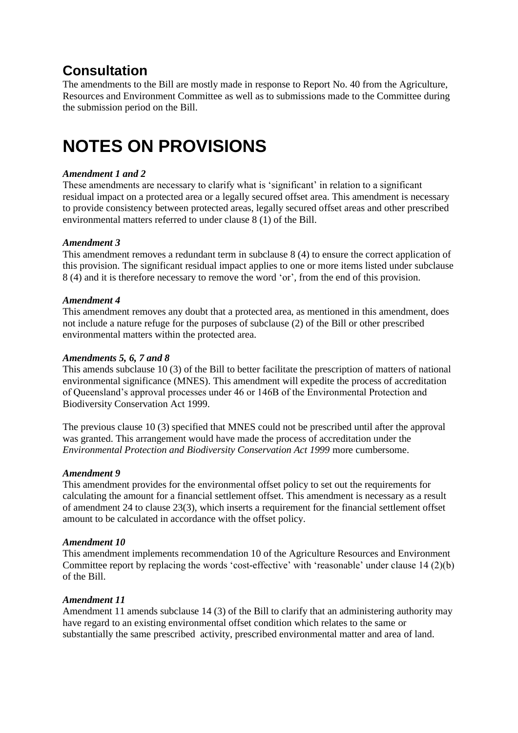### **Consultation**

The amendments to the Bill are mostly made in response to Report No. 40 from the Agriculture, Resources and Environment Committee as well as to submissions made to the Committee during the submission period on the Bill.

# **NOTES ON PROVISIONS**

#### *Amendment 1 and 2*

These amendments are necessary to clarify what is 'significant' in relation to a significant residual impact on a protected area or a legally secured offset area. This amendment is necessary to provide consistency between protected areas, legally secured offset areas and other prescribed environmental matters referred to under clause 8 (1) of the Bill.

#### *Amendment 3*

This amendment removes a redundant term in subclause 8 (4) to ensure the correct application of this provision. The significant residual impact applies to one or more items listed under subclause 8 (4) and it is therefore necessary to remove the word 'or', from the end of this provision.

#### *Amendment 4*

This amendment removes any doubt that a protected area, as mentioned in this amendment, does not include a nature refuge for the purposes of subclause (2) of the Bill or other prescribed environmental matters within the protected area.

#### *Amendments 5, 6, 7 and 8*

This amends subclause 10 (3) of the Bill to better facilitate the prescription of matters of national environmental significance (MNES). This amendment will expedite the process of accreditation of Queensland's approval processes under 46 or 146B of the Environmental Protection and Biodiversity Conservation Act 1999.

The previous clause 10 (3) specified that MNES could not be prescribed until after the approval was granted. This arrangement would have made the process of accreditation under the *Environmental Protection and Biodiversity Conservation Act 1999* more cumbersome.

#### *Amendment 9*

This amendment provides for the environmental offset policy to set out the requirements for calculating the amount for a financial settlement offset. This amendment is necessary as a result of amendment 24 to clause 23(3), which inserts a requirement for the financial settlement offset amount to be calculated in accordance with the offset policy.

#### *Amendment 10*

This amendment implements recommendation 10 of the Agriculture Resources and Environment Committee report by replacing the words 'cost-effective' with 'reasonable' under clause 14 (2)(b) of the Bill.

#### *Amendment 11*

Amendment 11 amends subclause 14 (3) of the Bill to clarify that an administering authority may have regard to an existing environmental offset condition which relates to the same or substantially the same prescribed activity, prescribed environmental matter and area of land.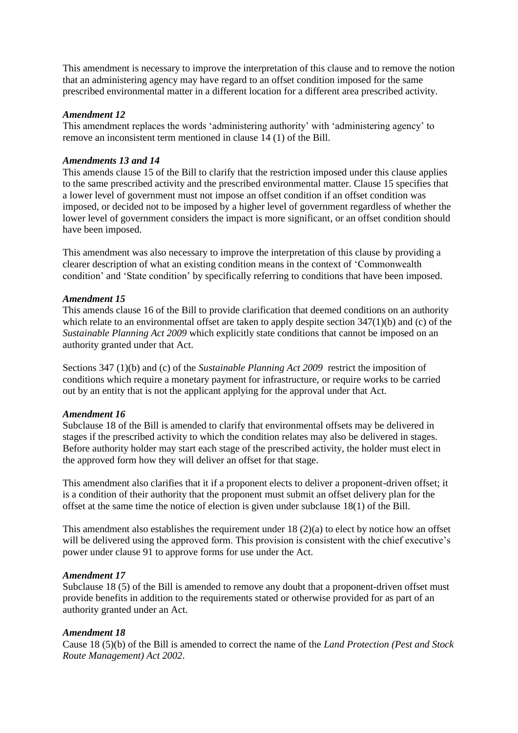This amendment is necessary to improve the interpretation of this clause and to remove the notion that an administering agency may have regard to an offset condition imposed for the same prescribed environmental matter in a different location for a different area prescribed activity.

#### *Amendment 12*

This amendment replaces the words 'administering authority' with 'administering agency' to remove an inconsistent term mentioned in clause 14 (1) of the Bill.

#### *Amendments 13 and 14*

This amends clause 15 of the Bill to clarify that the restriction imposed under this clause applies to the same prescribed activity and the prescribed environmental matter. Clause 15 specifies that a lower level of government must not impose an offset condition if an offset condition was imposed, or decided not to be imposed by a higher level of government regardless of whether the lower level of government considers the impact is more significant, or an offset condition should have been imposed.

This amendment was also necessary to improve the interpretation of this clause by providing a clearer description of what an existing condition means in the context of 'Commonwealth condition' and 'State condition' by specifically referring to conditions that have been imposed.

#### *Amendment 15*

This amends clause 16 of the Bill to provide clarification that deemed conditions on an authority which relate to an environmental offset are taken to apply despite section 347(1)(b) and (c) of the *Sustainable Planning Act 2009* which explicitly state conditions that cannot be imposed on an authority granted under that Act.

Sections 347 (1)(b) and (c) of the *Sustainable Planning Act 2009* restrict the imposition of conditions which require a monetary payment for infrastructure, or require works to be carried out by an entity that is not the applicant applying for the approval under that Act.

#### *Amendment 16*

Subclause 18 of the Bill is amended to clarify that environmental offsets may be delivered in stages if the prescribed activity to which the condition relates may also be delivered in stages. Before authority holder may start each stage of the prescribed activity, the holder must elect in the approved form how they will deliver an offset for that stage.

This amendment also clarifies that it if a proponent elects to deliver a proponent-driven offset; it is a condition of their authority that the proponent must submit an offset delivery plan for the offset at the same time the notice of election is given under subclause 18(1) of the Bill.

This amendment also establishes the requirement under 18 (2)(a) to elect by notice how an offset will be delivered using the approved form. This provision is consistent with the chief executive's power under clause 91 to approve forms for use under the Act.

#### *Amendment 17*

Subclause 18 (5) of the Bill is amended to remove any doubt that a proponent-driven offset must provide benefits in addition to the requirements stated or otherwise provided for as part of an authority granted under an Act.

#### *Amendment 18*

Cause 18 (5)(b) of the Bill is amended to correct the name of the *Land Protection (Pest and Stock Route Management) Act 2002*.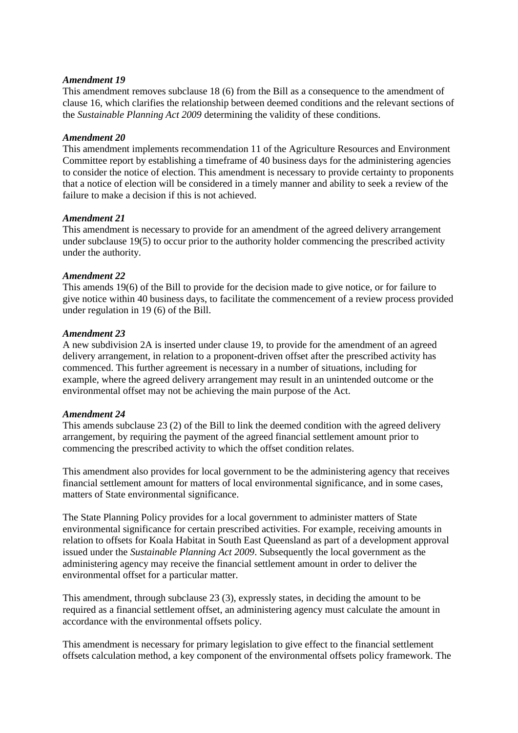#### *Amendment 19*

This amendment removes subclause 18 (6) from the Bill as a consequence to the amendment of clause 16, which clarifies the relationship between deemed conditions and the relevant sections of the *Sustainable Planning Act 2009* determining the validity of these conditions.

#### *Amendment 20*

This amendment implements recommendation 11 of the Agriculture Resources and Environment Committee report by establishing a timeframe of 40 business days for the administering agencies to consider the notice of election. This amendment is necessary to provide certainty to proponents that a notice of election will be considered in a timely manner and ability to seek a review of the failure to make a decision if this is not achieved.

#### *Amendment 21*

This amendment is necessary to provide for an amendment of the agreed delivery arrangement under subclause 19(5) to occur prior to the authority holder commencing the prescribed activity under the authority.

#### *Amendment 22*

This amends 19(6) of the Bill to provide for the decision made to give notice, or for failure to give notice within 40 business days, to facilitate the commencement of a review process provided under regulation in 19 (6) of the Bill.

#### *Amendment 23*

A new subdivision 2A is inserted under clause 19, to provide for the amendment of an agreed delivery arrangement, in relation to a proponent-driven offset after the prescribed activity has commenced. This further agreement is necessary in a number of situations, including for example, where the agreed delivery arrangement may result in an unintended outcome or the environmental offset may not be achieving the main purpose of the Act.

#### *Amendment 24*

This amends subclause 23 (2) of the Bill to link the deemed condition with the agreed delivery arrangement, by requiring the payment of the agreed financial settlement amount prior to commencing the prescribed activity to which the offset condition relates.

This amendment also provides for local government to be the administering agency that receives financial settlement amount for matters of local environmental significance, and in some cases, matters of State environmental significance.

The State Planning Policy provides for a local government to administer matters of State environmental significance for certain prescribed activities. For example, receiving amounts in relation to offsets for Koala Habitat in South East Queensland as part of a development approval issued under the *Sustainable Planning Act 2009*. Subsequently the local government as the administering agency may receive the financial settlement amount in order to deliver the environmental offset for a particular matter.

This amendment, through subclause 23 (3), expressly states, in deciding the amount to be required as a financial settlement offset, an administering agency must calculate the amount in accordance with the environmental offsets policy.

This amendment is necessary for primary legislation to give effect to the financial settlement offsets calculation method, a key component of the environmental offsets policy framework. The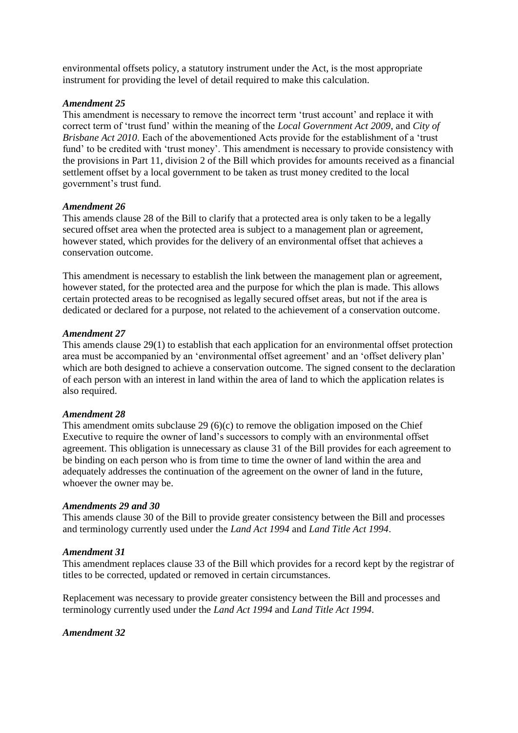environmental offsets policy, a statutory instrument under the Act, is the most appropriate instrument for providing the level of detail required to make this calculation.

#### *Amendment 25*

This amendment is necessary to remove the incorrect term 'trust account' and replace it with correct term of 'trust fund' within the meaning of the *Local Government Act 2009*, and *City of Brisbane Act 2010*. Each of the abovementioned Acts provide for the establishment of a 'trust fund' to be credited with 'trust money'. This amendment is necessary to provide consistency with the provisions in Part 11, division 2 of the Bill which provides for amounts received as a financial settlement offset by a local government to be taken as trust money credited to the local government's trust fund.

#### *Amendment 26*

This amends clause 28 of the Bill to clarify that a protected area is only taken to be a legally secured offset area when the protected area is subject to a management plan or agreement, however stated, which provides for the delivery of an environmental offset that achieves a conservation outcome.

This amendment is necessary to establish the link between the management plan or agreement, however stated, for the protected area and the purpose for which the plan is made. This allows certain protected areas to be recognised as legally secured offset areas, but not if the area is dedicated or declared for a purpose, not related to the achievement of a conservation outcome.

#### *Amendment 27*

This amends clause 29(1) to establish that each application for an environmental offset protection area must be accompanied by an 'environmental offset agreement' and an 'offset delivery plan' which are both designed to achieve a conservation outcome. The signed consent to the declaration of each person with an interest in land within the area of land to which the application relates is also required.

#### *Amendment 28*

This amendment omits subclause 29  $(6)(c)$  to remove the obligation imposed on the Chief Executive to require the owner of land's successors to comply with an environmental offset agreement. This obligation is unnecessary as clause 31 of the Bill provides for each agreement to be binding on each person who is from time to time the owner of land within the area and adequately addresses the continuation of the agreement on the owner of land in the future, whoever the owner may be.

#### *Amendments 29 and 30*

This amends clause 30 of the Bill to provide greater consistency between the Bill and processes and terminology currently used under the *Land Act 1994* and *Land Title Act 1994*.

#### *Amendment 31*

This amendment replaces clause 33 of the Bill which provides for a record kept by the registrar of titles to be corrected, updated or removed in certain circumstances.

Replacement was necessary to provide greater consistency between the Bill and processes and terminology currently used under the *Land Act 1994* and *Land Title Act 1994*.

#### *Amendment 32*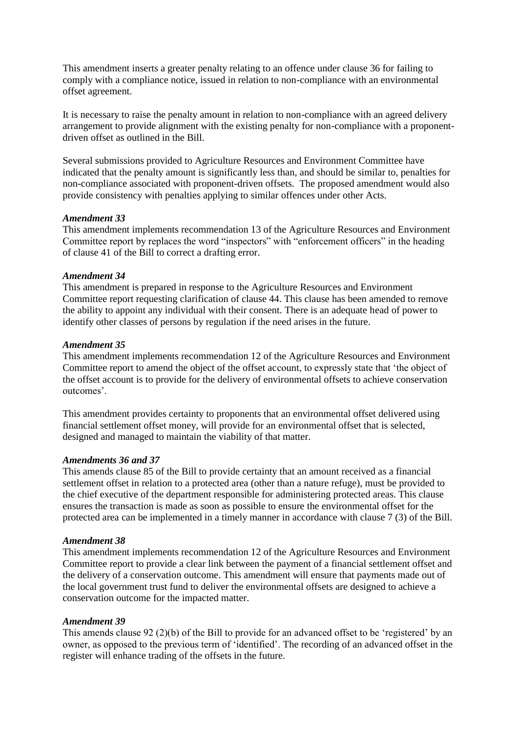This amendment inserts a greater penalty relating to an offence under clause 36 for failing to comply with a compliance notice, issued in relation to non-compliance with an environmental offset agreement.

It is necessary to raise the penalty amount in relation to non-compliance with an agreed delivery arrangement to provide alignment with the existing penalty for non-compliance with a proponentdriven offset as outlined in the Bill.

Several submissions provided to Agriculture Resources and Environment Committee have indicated that the penalty amount is significantly less than, and should be similar to, penalties for non-compliance associated with proponent-driven offsets. The proposed amendment would also provide consistency with penalties applying to similar offences under other Acts.

#### *Amendment 33*

This amendment implements recommendation 13 of the Agriculture Resources and Environment Committee report by replaces the word "inspectors" with "enforcement officers" in the heading of clause 41 of the Bill to correct a drafting error.

#### *Amendment 34*

This amendment is prepared in response to the Agriculture Resources and Environment Committee report requesting clarification of clause 44. This clause has been amended to remove the ability to appoint any individual with their consent. There is an adequate head of power to identify other classes of persons by regulation if the need arises in the future.

#### *Amendment 35*

This amendment implements recommendation 12 of the Agriculture Resources and Environment Committee report to amend the object of the offset account, to expressly state that 'the object of the offset account is to provide for the delivery of environmental offsets to achieve conservation outcomes'.

This amendment provides certainty to proponents that an environmental offset delivered using financial settlement offset money, will provide for an environmental offset that is selected, designed and managed to maintain the viability of that matter.

#### *Amendments 36 and 37*

This amends clause 85 of the Bill to provide certainty that an amount received as a financial settlement offset in relation to a protected area (other than a nature refuge), must be provided to the chief executive of the department responsible for administering protected areas. This clause ensures the transaction is made as soon as possible to ensure the environmental offset for the protected area can be implemented in a timely manner in accordance with clause 7 (3) of the Bill.

#### *Amendment 38*

This amendment implements recommendation 12 of the Agriculture Resources and Environment Committee report to provide a clear link between the payment of a financial settlement offset and the delivery of a conservation outcome. This amendment will ensure that payments made out of the local government trust fund to deliver the environmental offsets are designed to achieve a conservation outcome for the impacted matter.

#### *Amendment 39*

This amends clause 92 (2)(b) of the Bill to provide for an advanced offset to be 'registered' by an owner, as opposed to the previous term of 'identified'. The recording of an advanced offset in the register will enhance trading of the offsets in the future.